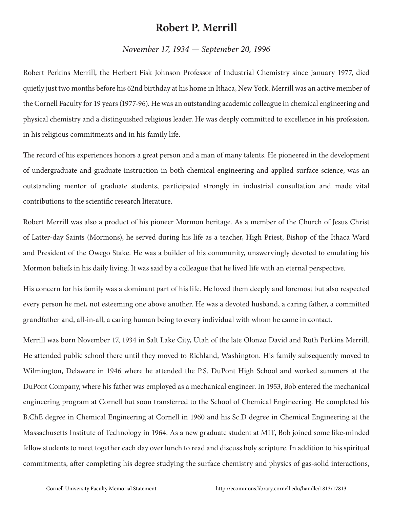## **Robert P. Merrill**

## *November 17, 1934 — September 20, 1996*

Robert Perkins Merrill, the Herbert Fisk Johnson Professor of Industrial Chemistry since January 1977, died quietly just two months before his 62nd birthday at his home in Ithaca, New York. Merrill was an active member of the Cornell Faculty for 19 years (1977-96). He was an outstanding academic colleague in chemical engineering and physical chemistry and a distinguished religious leader. He was deeply committed to excellence in his profession, in his religious commitments and in his family life.

The record of his experiences honors a great person and a man of many talents. He pioneered in the development of undergraduate and graduate instruction in both chemical engineering and applied surface science, was an outstanding mentor of graduate students, participated strongly in industrial consultation and made vital contributions to the scientific research literature.

Robert Merrill was also a product of his pioneer Mormon heritage. As a member of the Church of Jesus Christ of Latter-day Saints (Mormons), he served during his life as a teacher, High Priest, Bishop of the Ithaca Ward and President of the Owego Stake. He was a builder of his community, unswervingly devoted to emulating his Mormon beliefs in his daily living. It was said by a colleague that he lived life with an eternal perspective.

His concern for his family was a dominant part of his life. He loved them deeply and foremost but also respected every person he met, not esteeming one above another. He was a devoted husband, a caring father, a committed grandfather and, all-in-all, a caring human being to every individual with whom he came in contact.

Merrill was born November 17, 1934 in Salt Lake City, Utah of the late Olonzo David and Ruth Perkins Merrill. He attended public school there until they moved to Richland, Washington. His family subsequently moved to Wilmington, Delaware in 1946 where he attended the P.S. DuPont High School and worked summers at the DuPont Company, where his father was employed as a mechanical engineer. In 1953, Bob entered the mechanical engineering program at Cornell but soon transferred to the School of Chemical Engineering. He completed his B.ChE degree in Chemical Engineering at Cornell in 1960 and his Sc.D degree in Chemical Engineering at the Massachusetts Institute of Technology in 1964. As a new graduate student at MIT, Bob joined some like-minded fellow students to meet together each day over lunch to read and discuss holy scripture. In addition to his spiritual commitments, after completing his degree studying the surface chemistry and physics of gas-solid interactions,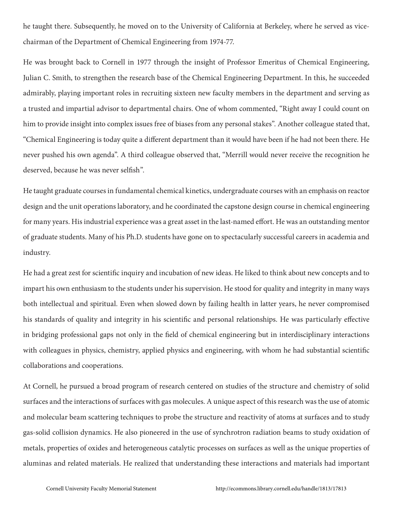he taught there. Subsequently, he moved on to the University of California at Berkeley, where he served as vicechairman of the Department of Chemical Engineering from 1974-77.

He was brought back to Cornell in 1977 through the insight of Professor Emeritus of Chemical Engineering, Julian C. Smith, to strengthen the research base of the Chemical Engineering Department. In this, he succeeded admirably, playing important roles in recruiting sixteen new faculty members in the department and serving as a trusted and impartial advisor to departmental chairs. One of whom commented, "Right away I could count on him to provide insight into complex issues free of biases from any personal stakes". Another colleague stated that, "Chemical Engineering is today quite a different department than it would have been if he had not been there. He never pushed his own agenda". A third colleague observed that, "Merrill would never receive the recognition he deserved, because he was never selfish".

He taught graduate courses in fundamental chemical kinetics, undergraduate courses with an emphasis on reactor design and the unit operations laboratory, and he coordinated the capstone design course in chemical engineering for many years. His industrial experience was a great asset in the last-named effort. He was an outstanding mentor of graduate students. Many of his Ph.D. students have gone on to spectacularly successful careers in academia and industry.

He had a great zest for scientific inquiry and incubation of new ideas. He liked to think about new concepts and to impart his own enthusiasm to the students under his supervision. He stood for quality and integrity in many ways both intellectual and spiritual. Even when slowed down by failing health in latter years, he never compromised his standards of quality and integrity in his scientific and personal relationships. He was particularly effective in bridging professional gaps not only in the field of chemical engineering but in interdisciplinary interactions with colleagues in physics, chemistry, applied physics and engineering, with whom he had substantial scientific collaborations and cooperations.

At Cornell, he pursued a broad program of research centered on studies of the structure and chemistry of solid surfaces and the interactions of surfaces with gas molecules. A unique aspect of this research was the use of atomic and molecular beam scattering techniques to probe the structure and reactivity of atoms at surfaces and to study gas-solid collision dynamics. He also pioneered in the use of synchrotron radiation beams to study oxidation of metals, properties of oxides and heterogeneous catalytic processes on surfaces as well as the unique properties of aluminas and related materials. He realized that understanding these interactions and materials had important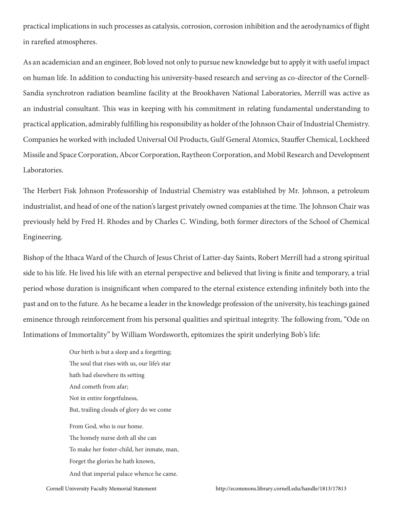practical implications in such processes as catalysis, corrosion, corrosion inhibition and the aerodynamics of flight in rarefied atmospheres.

As an academician and an engineer, Bob loved not only to pursue new knowledge but to apply it with useful impact on human life. In addition to conducting his university-based research and serving as co-director of the Cornell-Sandia synchrotron radiation beamline facility at the Brookhaven National Laboratories, Merrill was active as an industrial consultant. This was in keeping with his commitment in relating fundamental understanding to practical application, admirably fulfilling his responsibility as holder of the Johnson Chair of Industrial Chemistry. Companies he worked with included Universal Oil Products, Gulf General Atomics, Stauffer Chemical, Lockheed Missile and Space Corporation, Abcor Corporation, Raytheon Corporation, and Mobil Research and Development Laboratories.

The Herbert Fisk Johnson Professorship of Industrial Chemistry was established by Mr. Johnson, a petroleum industrialist, and head of one of the nation's largest privately owned companies at the time. The Johnson Chair was previously held by Fred H. Rhodes and by Charles C. Winding, both former directors of the School of Chemical Engineering.

Bishop of the Ithaca Ward of the Church of Jesus Christ of Latter-day Saints, Robert Merrill had a strong spiritual side to his life. He lived his life with an eternal perspective and believed that living is finite and temporary, a trial period whose duration is insignificant when compared to the eternal existence extending infinitely both into the past and on to the future. As he became a leader in the knowledge profession of the university, his teachings gained eminence through reinforcement from his personal qualities and spiritual integrity. The following from, "Ode on Intimations of Immortality" by William Wordsworth, epitomizes the spirit underlying Bob's life:

> Our birth is but a sleep and a forgetting; The soul that rises with us, our life's star hath had elsewhere its setting And cometh from afar; Not in entire forgetfulness, But, trailing clouds of glory do we come From God, who is our home. The homely nurse doth all she can To make her foster-child, her inmate, man, Forget the glories he hath known, And that imperial palace whence he came.